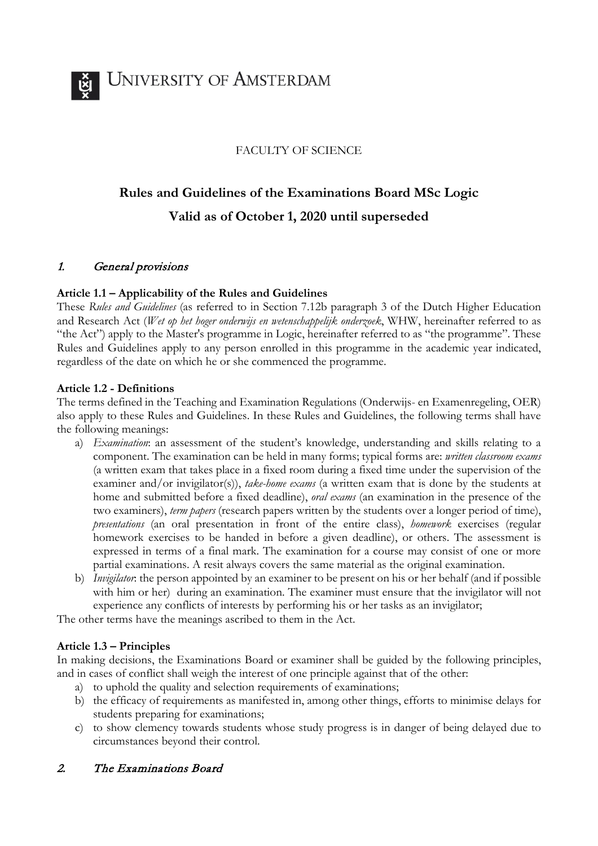

#### FACULTY OF SCIENCE

# **Rules and Guidelines of the Examinations Board MSc Logic Valid as of October 1, 2020 until superseded**

#### 1. General provisions

#### **Article 1.1 – Applicability of the Rules and Guidelines**

These *Rules and Guidelines* (as referred to in Section 7.12b paragraph 3 of the Dutch Higher Education and Research Act (*Wet op het hoger onderwijs en wetenschappelijk onderzoek*, WHW, hereinafter referred to as "the Act") apply to the Master's programme in Logic, hereinafter referred to as "the programme". These Rules and Guidelines apply to any person enrolled in this programme in the academic year indicated, regardless of the date on which he or she commenced the programme.

#### **Article 1.2 - Definitions**

The terms defined in the Teaching and Examination Regulations (Onderwijs- en Examenregeling, OER) also apply to these Rules and Guidelines. In these Rules and Guidelines, the following terms shall have the following meanings:

- a) *Examination*: an assessment of the student's knowledge, understanding and skills relating to a component. The examination can be held in many forms; typical forms are: *written classroom exams* (a written exam that takes place in a fixed room during a fixed time under the supervision of the examiner and/or invigilator(s)), *take-home exams* (a written exam that is done by the students at home and submitted before a fixed deadline), *oral exams* (an examination in the presence of the two examiners), *term papers* (research papers written by the students over a longer period of time), *presentations* (an oral presentation in front of the entire class), *homework* exercises (regular homework exercises to be handed in before a given deadline), or others. The assessment is expressed in terms of a final mark. The examination for a course may consist of one or more partial examinations. A resit always covers the same material as the original examination.
- b) *Invigilator*: the person appointed by an examiner to be present on his or her behalf (and if possible with him or her) during an examination. The examiner must ensure that the invigilator will not experience any conflicts of interests by performing his or her tasks as an invigilator;

The other terms have the meanings ascribed to them in the Act.

#### **Article 1.3 – Principles**

In making decisions, the Examinations Board or examiner shall be guided by the following principles, and in cases of conflict shall weigh the interest of one principle against that of the other:

- a) to uphold the quality and selection requirements of examinations;
- b) the efficacy of requirements as manifested in, among other things, efforts to minimise delays for students preparing for examinations;
- c) to show clemency towards students whose study progress is in danger of being delayed due to circumstances beyond their control.

#### 2. The Examinations Board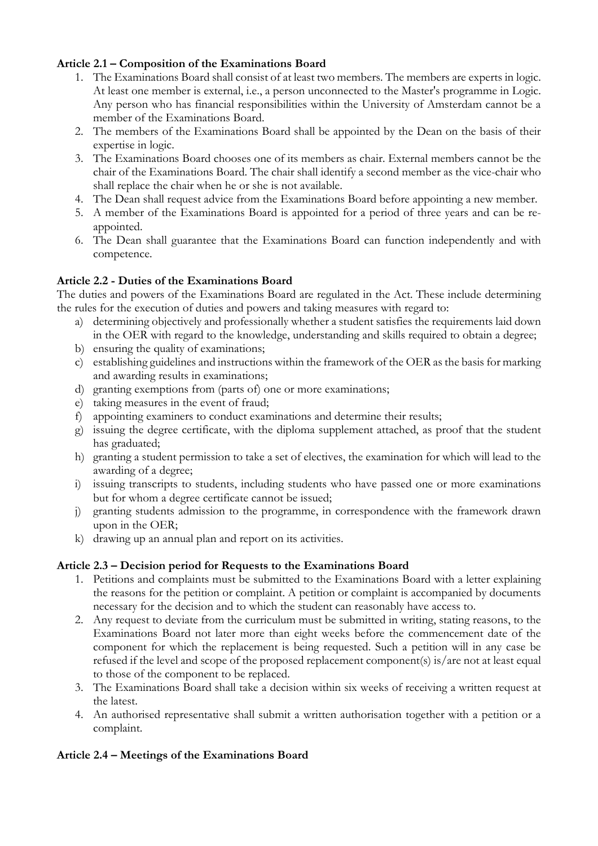## **Article 2.1 – Composition of the Examinations Board**

- 1. The Examinations Board shall consist of at least two members. The members are experts in logic. At least one member is external, i.e., a person unconnected to the Master's programme in Logic. Any person who has financial responsibilities within the University of Amsterdam cannot be a member of the Examinations Board.
- 2. The members of the Examinations Board shall be appointed by the Dean on the basis of their expertise in logic.
- 3. The Examinations Board chooses one of its members as chair. External members cannot be the chair of the Examinations Board. The chair shall identify a second member as the vice-chair who shall replace the chair when he or she is not available.
- 4. The Dean shall request advice from the Examinations Board before appointing a new member.
- 5. A member of the Examinations Board is appointed for a period of three years and can be reappointed.
- 6. The Dean shall guarantee that the Examinations Board can function independently and with competence.

#### **Article 2.2 - Duties of the Examinations Board**

The duties and powers of the Examinations Board are regulated in the Act. These include determining the rules for the execution of duties and powers and taking measures with regard to:

- a) determining objectively and professionally whether a student satisfies the requirements laid down in the OER with regard to the knowledge, understanding and skills required to obtain a degree;
- b) ensuring the quality of examinations;
- c) establishing guidelines and instructions within the framework of the OER as the basis for marking and awarding results in examinations;
- d) granting exemptions from (parts of) one or more examinations;
- e) taking measures in the event of fraud;
- f) appointing examiners to conduct examinations and determine their results;
- g) issuing the degree certificate, with the diploma supplement attached, as proof that the student has graduated;
- h) granting a student permission to take a set of electives, the examination for which will lead to the awarding of a degree;
- i) issuing transcripts to students, including students who have passed one or more examinations but for whom a degree certificate cannot be issued;
- j) granting students admission to the programme, in correspondence with the framework drawn upon in the OER;
- k) drawing up an annual plan and report on its activities.

## **Article 2.3 – Decision period for Requests to the Examinations Board**

- 1. Petitions and complaints must be submitted to the Examinations Board with a letter explaining the reasons for the petition or complaint. A petition or complaint is accompanied by documents necessary for the decision and to which the student can reasonably have access to.
- 2. Any request to deviate from the curriculum must be submitted in writing, stating reasons, to the Examinations Board not later more than eight weeks before the commencement date of the component for which the replacement is being requested. Such a petition will in any case be refused if the level and scope of the proposed replacement component(s) is/are not at least equal to those of the component to be replaced.
- 3. The Examinations Board shall take a decision within six weeks of receiving a written request at the latest.
- 4. An authorised representative shall submit a written authorisation together with a petition or a complaint.

## **Article 2.4 – Meetings of the Examinations Board**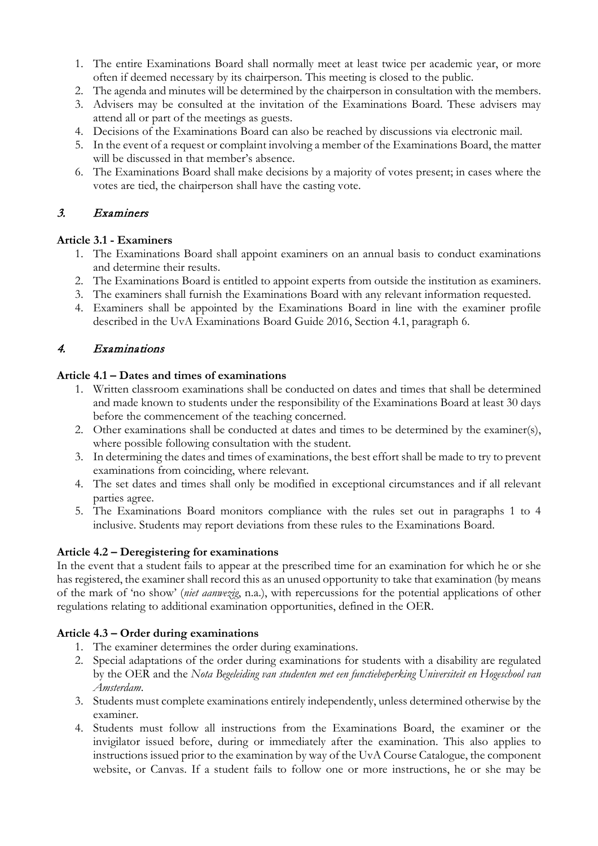- 1. The entire Examinations Board shall normally meet at least twice per academic year, or more often if deemed necessary by its chairperson. This meeting is closed to the public.
- 2. The agenda and minutes will be determined by the chairperson in consultation with the members.
- 3. Advisers may be consulted at the invitation of the Examinations Board. These advisers may attend all or part of the meetings as guests.
- 4. Decisions of the Examinations Board can also be reached by discussions via electronic mail.
- 5. In the event of a request or complaint involving a member of the Examinations Board, the matter will be discussed in that member's absence.
- 6. The Examinations Board shall make decisions by a majority of votes present; in cases where the votes are tied, the chairperson shall have the casting vote.

# 3. Examiners

## **Article 3.1 - Examiners**

- 1. The Examinations Board shall appoint examiners on an annual basis to conduct examinations and determine their results.
- 2. The Examinations Board is entitled to appoint experts from outside the institution as examiners.
- 3. The examiners shall furnish the Examinations Board with any relevant information requested.
- 4. Examiners shall be appointed by the Examinations Board in line with the examiner profile described in the UvA Examinations Board Guide 2016, Section 4.1, paragraph 6.

# 4. Examinations

#### **Article 4.1 – Dates and times of examinations**

- 1. Written classroom examinations shall be conducted on dates and times that shall be determined and made known to students under the responsibility of the Examinations Board at least 30 days before the commencement of the teaching concerned.
- 2. Other examinations shall be conducted at dates and times to be determined by the examiner(s), where possible following consultation with the student.
- 3. In determining the dates and times of examinations, the best effort shall be made to try to prevent examinations from coinciding, where relevant.
- 4. The set dates and times shall only be modified in exceptional circumstances and if all relevant parties agree.
- 5. The Examinations Board monitors compliance with the rules set out in paragraphs 1 to 4 inclusive. Students may report deviations from these rules to the Examinations Board.

## **Article 4.2 – Deregistering for examinations**

In the event that a student fails to appear at the prescribed time for an examination for which he or she has registered, the examiner shall record this as an unused opportunity to take that examination (by means of the mark of 'no show' (*niet aanwezig*, n.a.), with repercussions for the potential applications of other regulations relating to additional examination opportunities, defined in the OER.

## **Article 4.3 – Order during examinations**

- 1. The examiner determines the order during examinations.
- 2. Special adaptations of the order during examinations for students with a disability are regulated by the OER and the *Nota Begeleiding van studenten met een functiebeperking Universiteit en Hogeschool van Amsterdam*.
- 3. Students must complete examinations entirely independently, unless determined otherwise by the examiner.
- 4. Students must follow all instructions from the Examinations Board, the examiner or the invigilator issued before, during or immediately after the examination. This also applies to instructions issued prior to the examination by way of the UvA Course Catalogue, the component website, or Canvas. If a student fails to follow one or more instructions, he or she may be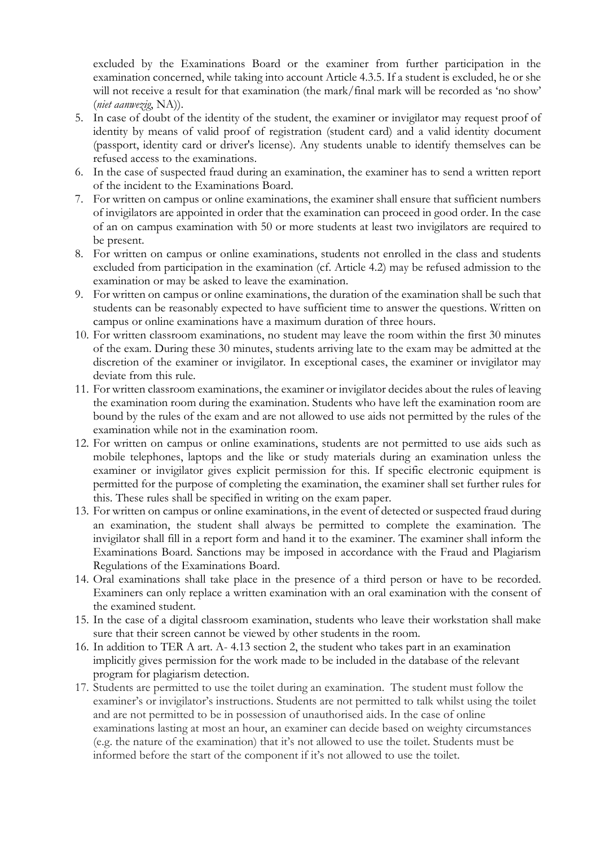excluded by the Examinations Board or the examiner from further participation in the examination concerned, while taking into account Article 4.3.5. If a student is excluded, he or she will not receive a result for that examination (the mark/final mark will be recorded as 'no show' (*niet aanwezig*, NA)).

- 5. In case of doubt of the identity of the student, the examiner or invigilator may request proof of identity by means of valid proof of registration (student card) and a valid identity document (passport, identity card or driver's license). Any students unable to identify themselves can be refused access to the examinations.
- 6. In the case of suspected fraud during an examination, the examiner has to send a written report of the incident to the Examinations Board.
- 7. For written on campus or online examinations, the examiner shall ensure that sufficient numbers of invigilators are appointed in order that the examination can proceed in good order. In the case of an on campus examination with 50 or more students at least two invigilators are required to be present.
- 8. For written on campus or online examinations, students not enrolled in the class and students excluded from participation in the examination (cf. Article 4.2) may be refused admission to the examination or may be asked to leave the examination.
- 9. For written on campus or online examinations, the duration of the examination shall be such that students can be reasonably expected to have sufficient time to answer the questions. Written on campus or online examinations have a maximum duration of three hours.
- 10. For written classroom examinations, no student may leave the room within the first 30 minutes of the exam. During these 30 minutes, students arriving late to the exam may be admitted at the discretion of the examiner or invigilator. In exceptional cases, the examiner or invigilator may deviate from this rule.
- 11. For written classroom examinations, the examiner or invigilator decides about the rules of leaving the examination room during the examination. Students who have left the examination room are bound by the rules of the exam and are not allowed to use aids not permitted by the rules of the examination while not in the examination room.
- 12. For written on campus or online examinations, students are not permitted to use aids such as mobile telephones, laptops and the like or study materials during an examination unless the examiner or invigilator gives explicit permission for this. If specific electronic equipment is permitted for the purpose of completing the examination, the examiner shall set further rules for this. These rules shall be specified in writing on the exam paper.
- 13. For written on campus or online examinations, in the event of detected or suspected fraud during an examination, the student shall always be permitted to complete the examination. The invigilator shall fill in a report form and hand it to the examiner. The examiner shall inform the Examinations Board. Sanctions may be imposed in accordance with the Fraud and Plagiarism Regulations of the Examinations Board.
- 14. Oral examinations shall take place in the presence of a third person or have to be recorded. Examiners can only replace a written examination with an oral examination with the consent of the examined student.
- 15. In the case of a digital classroom examination, students who leave their workstation shall make sure that their screen cannot be viewed by other students in the room.
- 16. In addition to TER A art. A- 4.13 section 2, the student who takes part in an examination implicitly gives permission for the work made to be included in the database of the relevant program for plagiarism detection.
- 17. Students are permitted to use the toilet during an examination. The student must follow the examiner's or invigilator's instructions. Students are not permitted to talk whilst using the toilet and are not permitted to be in possession of unauthorised aids. In the case of online examinations lasting at most an hour, an examiner can decide based on weighty circumstances (e.g. the nature of the examination) that it's not allowed to use the toilet. Students must be informed before the start of the component if it's not allowed to use the toilet.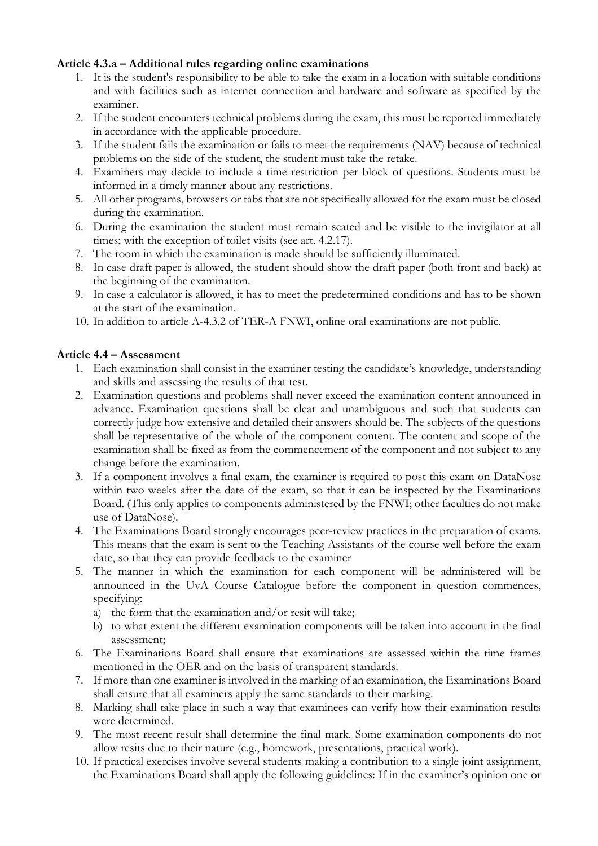#### **Article 4.3.a – Additional rules regarding online examinations**

- 1. It is the student's responsibility to be able to take the exam in a location with suitable conditions and with facilities such as internet connection and hardware and software as specified by the examiner.
- 2. If the student encounters technical problems during the exam, this must be reported immediately in accordance with the applicable procedure.
- 3. If the student fails the examination or fails to meet the requirements (NAV) because of technical problems on the side of the student, the student must take the retake.
- 4. Examiners may decide to include a time restriction per block of questions. Students must be informed in a timely manner about any restrictions.
- 5. All other programs, browsers or tabs that are not specifically allowed for the exam must be closed during the examination.
- 6. During the examination the student must remain seated and be visible to the invigilator at all times; with the exception of toilet visits (see art. 4.2.17).
- 7. The room in which the examination is made should be sufficiently illuminated.
- 8. In case draft paper is allowed, the student should show the draft paper (both front and back) at the beginning of the examination.
- 9. In case a calculator is allowed, it has to meet the predetermined conditions and has to be shown at the start of the examination.
- 10. In addition to article A-4.3.2 of TER-A FNWI, online oral examinations are not public.

#### **Article 4.4 – Assessment**

- 1. Each examination shall consist in the examiner testing the candidate's knowledge, understanding and skills and assessing the results of that test.
- 2. Examination questions and problems shall never exceed the examination content announced in advance. Examination questions shall be clear and unambiguous and such that students can correctly judge how extensive and detailed their answers should be. The subjects of the questions shall be representative of the whole of the component content. The content and scope of the examination shall be fixed as from the commencement of the component and not subject to any change before the examination.
- 3. If a component involves a final exam, the examiner is required to post this exam on DataNose within two weeks after the date of the exam, so that it can be inspected by the Examinations Board. (This only applies to components administered by the FNWI; other faculties do not make use of DataNose).
- 4. The Examinations Board strongly encourages peer-review practices in the preparation of exams. This means that the exam is sent to the Teaching Assistants of the course well before the exam date, so that they can provide feedback to the examiner
- 5. The manner in which the examination for each component will be administered will be announced in the UvA Course Catalogue before the component in question commences, specifying:
	- a) the form that the examination and/or resit will take;
	- b) to what extent the different examination components will be taken into account in the final assessment;
- 6. The Examinations Board shall ensure that examinations are assessed within the time frames mentioned in the OER and on the basis of transparent standards.
- 7. If more than one examiner is involved in the marking of an examination, the Examinations Board shall ensure that all examiners apply the same standards to their marking.
- 8. Marking shall take place in such a way that examinees can verify how their examination results were determined.
- 9. The most recent result shall determine the final mark. Some examination components do not allow resits due to their nature (e.g., homework, presentations, practical work).
- 10. If practical exercises involve several students making a contribution to a single joint assignment, the Examinations Board shall apply the following guidelines: If in the examiner's opinion one or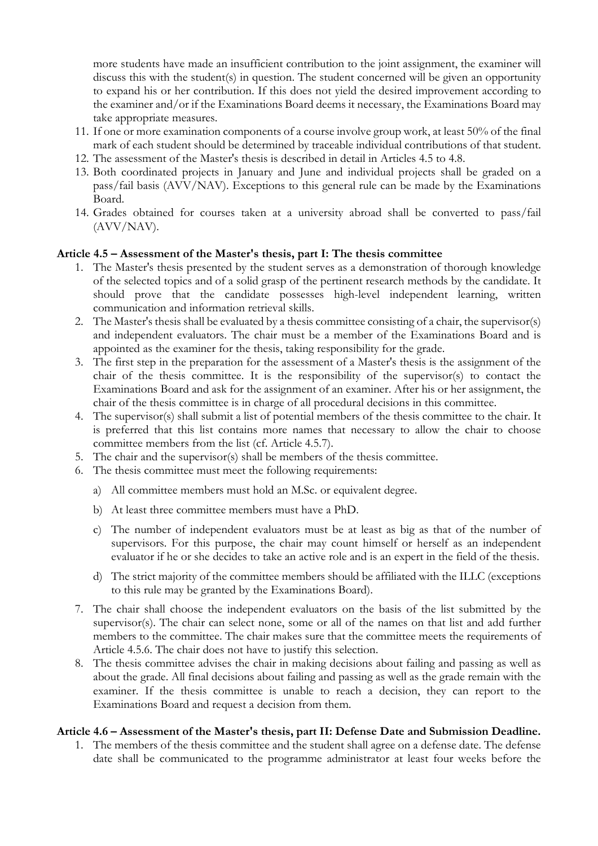more students have made an insufficient contribution to the joint assignment, the examiner will discuss this with the student(s) in question. The student concerned will be given an opportunity to expand his or her contribution. If this does not yield the desired improvement according to the examiner and/or if the Examinations Board deems it necessary, the Examinations Board may take appropriate measures.

- 11. If one or more examination components of a course involve group work, at least 50% of the final mark of each student should be determined by traceable individual contributions of that student.
- 12. The assessment of the Master's thesis is described in detail in Articles 4.5 to 4.8.
- 13. Both coordinated projects in January and June and individual projects shall be graded on a pass/fail basis (AVV/NAV). Exceptions to this general rule can be made by the Examinations Board.
- 14. Grades obtained for courses taken at a university abroad shall be converted to pass/fail (AVV/NAV).

#### **Article 4.5 – Assessment of the Master's thesis, part I: The thesis committee**

- 1. The Master's thesis presented by the student serves as a demonstration of thorough knowledge of the selected topics and of a solid grasp of the pertinent research methods by the candidate. It should prove that the candidate possesses high-level independent learning, written communication and information retrieval skills.
- 2. The Master's thesis shall be evaluated by a thesis committee consisting of a chair, the supervisor(s) and independent evaluators. The chair must be a member of the Examinations Board and is appointed as the examiner for the thesis, taking responsibility for the grade.
- 3. The first step in the preparation for the assessment of a Master's thesis is the assignment of the chair of the thesis committee. It is the responsibility of the supervisor(s) to contact the Examinations Board and ask for the assignment of an examiner. After his or her assignment, the chair of the thesis committee is in charge of all procedural decisions in this committee.
- 4. The supervisor(s) shall submit a list of potential members of the thesis committee to the chair. It is preferred that this list contains more names that necessary to allow the chair to choose committee members from the list (cf. Article 4.5.7).
- 5. The chair and the supervisor(s) shall be members of the thesis committee.
- 6. The thesis committee must meet the following requirements:
	- a) All committee members must hold an M.Sc. or equivalent degree.
	- b) At least three committee members must have a PhD.
	- c) The number of independent evaluators must be at least as big as that of the number of supervisors. For this purpose, the chair may count himself or herself as an independent evaluator if he or she decides to take an active role and is an expert in the field of the thesis.
	- d) The strict majority of the committee members should be affiliated with the ILLC (exceptions to this rule may be granted by the Examinations Board).
- 7. The chair shall choose the independent evaluators on the basis of the list submitted by the supervisor(s). The chair can select none, some or all of the names on that list and add further members to the committee. The chair makes sure that the committee meets the requirements of Article 4.5.6. The chair does not have to justify this selection.
- 8. The thesis committee advises the chair in making decisions about failing and passing as well as about the grade. All final decisions about failing and passing as well as the grade remain with the examiner. If the thesis committee is unable to reach a decision, they can report to the Examinations Board and request a decision from them.

#### **Article 4.6 – Assessment of the Master's thesis, part II: Defense Date and Submission Deadline.**

1. The members of the thesis committee and the student shall agree on a defense date. The defense date shall be communicated to the programme administrator at least four weeks before the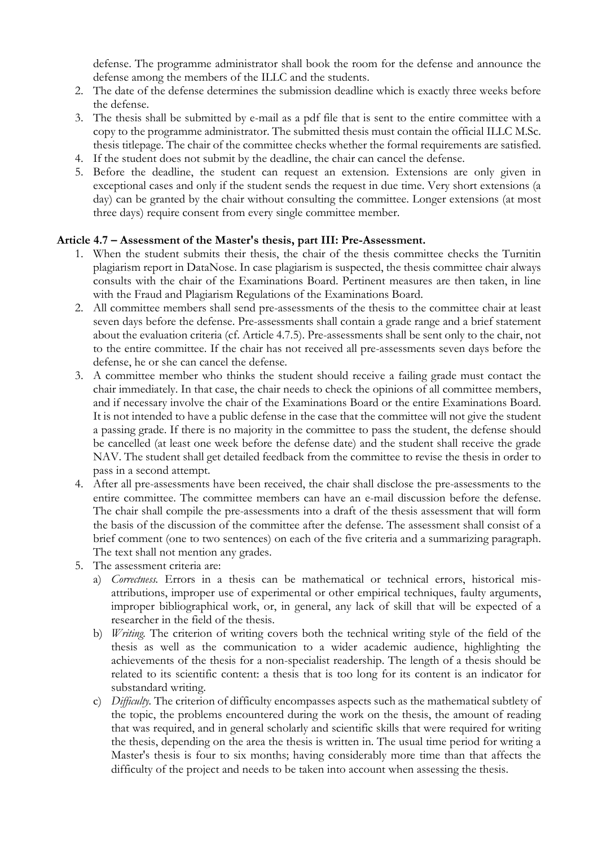defense. The programme administrator shall book the room for the defense and announce the defense among the members of the ILLC and the students.

- 2. The date of the defense determines the submission deadline which is exactly three weeks before the defense.
- 3. The thesis shall be submitted by e-mail as a pdf file that is sent to the entire committee with a copy to the programme administrator. The submitted thesis must contain the official ILLC M.Sc. thesis titlepage. The chair of the committee checks whether the formal requirements are satisfied.
- 4. If the student does not submit by the deadline, the chair can cancel the defense.
- 5. Before the deadline, the student can request an extension. Extensions are only given in exceptional cases and only if the student sends the request in due time. Very short extensions (a day) can be granted by the chair without consulting the committee. Longer extensions (at most three days) require consent from every single committee member.

#### **Article 4.7 – Assessment of the Master's thesis, part III: Pre-Assessment.**

- 1. When the student submits their thesis, the chair of the thesis committee checks the Turnitin plagiarism report in DataNose. In case plagiarism is suspected, the thesis committee chair always consults with the chair of the Examinations Board. Pertinent measures are then taken, in line with the Fraud and Plagiarism Regulations of the Examinations Board.
- 2. All committee members shall send pre-assessments of the thesis to the committee chair at least seven days before the defense. Pre-assessments shall contain a grade range and a brief statement about the evaluation criteria (cf. Article 4.7.5). Pre-assessments shall be sent only to the chair, not to the entire committee. If the chair has not received all pre-assessments seven days before the defense, he or she can cancel the defense.
- 3. A committee member who thinks the student should receive a failing grade must contact the chair immediately. In that case, the chair needs to check the opinions of all committee members, and if necessary involve the chair of the Examinations Board or the entire Examinations Board. It is not intended to have a public defense in the case that the committee will not give the student a passing grade. If there is no majority in the committee to pass the student, the defense should be cancelled (at least one week before the defense date) and the student shall receive the grade NAV. The student shall get detailed feedback from the committee to revise the thesis in order to pass in a second attempt.
- 4. After all pre-assessments have been received, the chair shall disclose the pre-assessments to the entire committee. The committee members can have an e-mail discussion before the defense. The chair shall compile the pre-assessments into a draft of the thesis assessment that will form the basis of the discussion of the committee after the defense. The assessment shall consist of a brief comment (one to two sentences) on each of the five criteria and a summarizing paragraph. The text shall not mention any grades.
- 5. The assessment criteria are:
	- a) *Correctness.* Errors in a thesis can be mathematical or technical errors, historical misattributions, improper use of experimental or other empirical techniques, faulty arguments, improper bibliographical work, or, in general, any lack of skill that will be expected of a researcher in the field of the thesis.
	- b) *Writing.* The criterion of writing covers both the technical writing style of the field of the thesis as well as the communication to a wider academic audience, highlighting the achievements of the thesis for a non-specialist readership. The length of a thesis should be related to its scientific content: a thesis that is too long for its content is an indicator for substandard writing.
	- c) *Difficulty.* The criterion of difficulty encompasses aspects such as the mathematical subtlety of the topic, the problems encountered during the work on the thesis, the amount of reading that was required, and in general scholarly and scientific skills that were required for writing the thesis, depending on the area the thesis is written in. The usual time period for writing a Master's thesis is four to six months; having considerably more time than that affects the difficulty of the project and needs to be taken into account when assessing the thesis.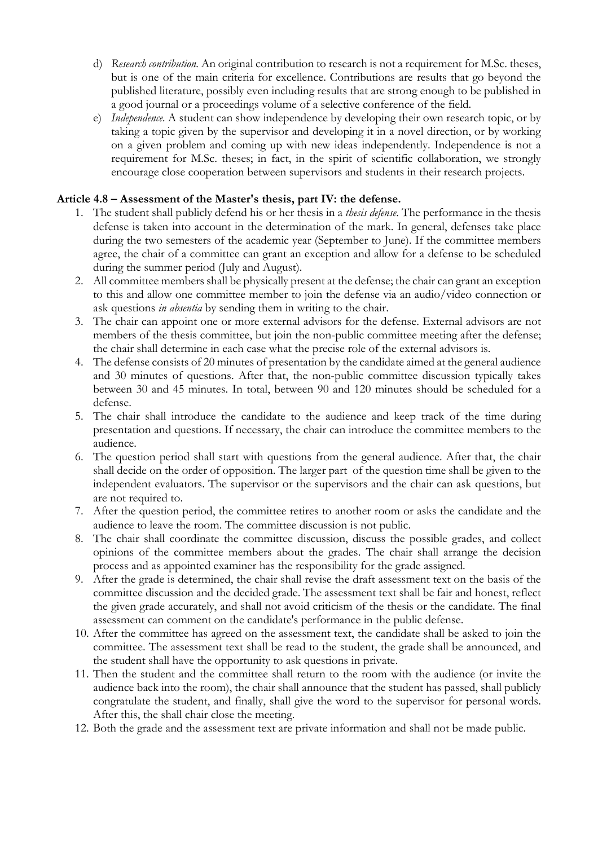- d) *Research contribution.* An original contribution to research is not a requirement for M.Sc. theses, but is one of the main criteria for excellence. Contributions are results that go beyond the published literature, possibly even including results that are strong enough to be published in a good journal or a proceedings volume of a selective conference of the field.
- e) *Independence.* A student can show independence by developing their own research topic, or by taking a topic given by the supervisor and developing it in a novel direction, or by working on a given problem and coming up with new ideas independently. Independence is not a requirement for M.Sc. theses; in fact, in the spirit of scientific collaboration, we strongly encourage close cooperation between supervisors and students in their research projects.

#### **Article 4.8 – Assessment of the Master's thesis, part IV: the defense.**

- 1. The student shall publicly defend his or her thesis in a *thesis defense*. The performance in the thesis defense is taken into account in the determination of the mark. In general, defenses take place during the two semesters of the academic year (September to June). If the committee members agree, the chair of a committee can grant an exception and allow for a defense to be scheduled during the summer period (July and August).
- 2. All committee members shall be physically present at the defense; the chair can grant an exception to this and allow one committee member to join the defense via an audio/video connection or ask questions *in absentia* by sending them in writing to the chair.
- 3. The chair can appoint one or more external advisors for the defense. External advisors are not members of the thesis committee, but join the non-public committee meeting after the defense; the chair shall determine in each case what the precise role of the external advisors is.
- 4. The defense consists of 20 minutes of presentation by the candidate aimed at the general audience and 30 minutes of questions. After that, the non-public committee discussion typically takes between 30 and 45 minutes. In total, between 90 and 120 minutes should be scheduled for a defense.
- 5. The chair shall introduce the candidate to the audience and keep track of the time during presentation and questions. If necessary, the chair can introduce the committee members to the audience.
- 6. The question period shall start with questions from the general audience. After that, the chair shall decide on the order of opposition. The larger part of the question time shall be given to the independent evaluators. The supervisor or the supervisors and the chair can ask questions, but are not required to.
- 7. After the question period, the committee retires to another room or asks the candidate and the audience to leave the room. The committee discussion is not public.
- 8. The chair shall coordinate the committee discussion, discuss the possible grades, and collect opinions of the committee members about the grades. The chair shall arrange the decision process and as appointed examiner has the responsibility for the grade assigned.
- 9. After the grade is determined, the chair shall revise the draft assessment text on the basis of the committee discussion and the decided grade. The assessment text shall be fair and honest, reflect the given grade accurately, and shall not avoid criticism of the thesis or the candidate. The final assessment can comment on the candidate's performance in the public defense.
- 10. After the committee has agreed on the assessment text, the candidate shall be asked to join the committee. The assessment text shall be read to the student, the grade shall be announced, and the student shall have the opportunity to ask questions in private.
- 11. Then the student and the committee shall return to the room with the audience (or invite the audience back into the room), the chair shall announce that the student has passed, shall publicly congratulate the student, and finally, shall give the word to the supervisor for personal words. After this, the shall chair close the meeting.
- 12. Both the grade and the assessment text are private information and shall not be made public.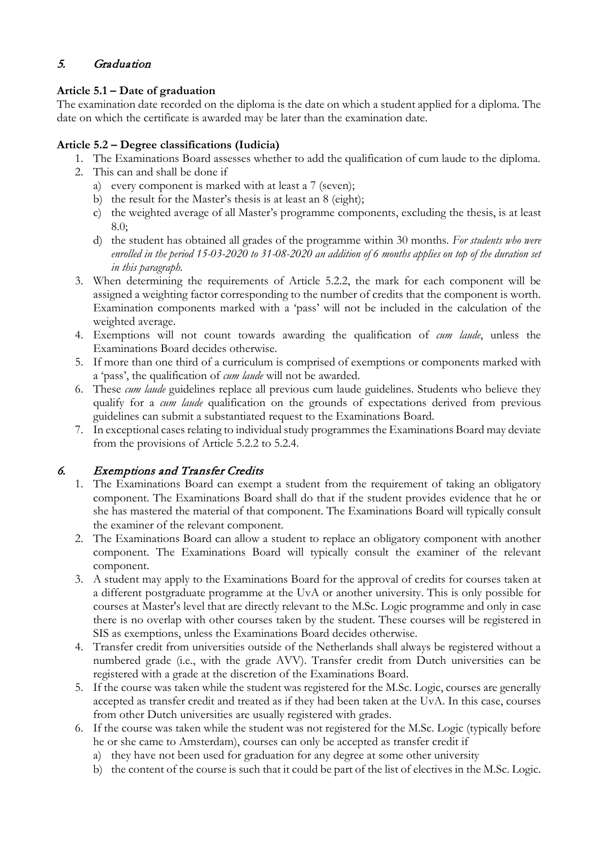# 5. Graduation

# **Article 5.1 – Date of graduation**

The examination date recorded on the diploma is the date on which a student applied for a diploma. The date on which the certificate is awarded may be later than the examination date.

# **Article 5.2 – Degree classifications (Iudicia)**

- 1. The Examinations Board assesses whether to add the qualification of cum laude to the diploma.
- 2. This can and shall be done if
	- a) every component is marked with at least a 7 (seven);
	- b) the result for the Master's thesis is at least an 8 (eight);
	- c) the weighted average of all Master's programme components, excluding the thesis, is at least 8.0;
	- d) the student has obtained all grades of the programme within 30 months*. For students who were* enrolled in the period 15-03-2020 to 31-08-2020 an addition of 6 months applies on top of the duration set *in this paragraph.*
- 3. When determining the requirements of Article 5.2.2, the mark for each component will be assigned a weighting factor corresponding to the number of credits that the component is worth. Examination components marked with a 'pass' will not be included in the calculation of the weighted average.
- 4. Exemptions will not count towards awarding the qualification of *cum laude*, unless the Examinations Board decides otherwise.
- 5. If more than one third of a curriculum is comprised of exemptions or components marked with a 'pass', the qualification of *cum laude* will not be awarded.
- 6. These *cum laude* guidelines replace all previous cum laude guidelines. Students who believe they qualify for a *cum laude* qualification on the grounds of expectations derived from previous guidelines can submit a substantiated request to the Examinations Board.
- 7. In exceptional cases relating to individual study programmes the Examinations Board may deviate from the provisions of Article 5.2.2 to 5.2.4.

# 6. Exemptions and Transfer Credits

- 1. The Examinations Board can exempt a student from the requirement of taking an obligatory component. The Examinations Board shall do that if the student provides evidence that he or she has mastered the material of that component. The Examinations Board will typically consult the examiner of the relevant component.
- 2. The Examinations Board can allow a student to replace an obligatory component with another component. The Examinations Board will typically consult the examiner of the relevant component.
- 3. A student may apply to the Examinations Board for the approval of credits for courses taken at a different postgraduate programme at the UvA or another university. This is only possible for courses at Master's level that are directly relevant to the M.Sc. Logic programme and only in case there is no overlap with other courses taken by the student. These courses will be registered in SIS as exemptions, unless the Examinations Board decides otherwise.
- 4. Transfer credit from universities outside of the Netherlands shall always be registered without a numbered grade (i.e., with the grade AVV). Transfer credit from Dutch universities can be registered with a grade at the discretion of the Examinations Board.
- 5. If the course was taken while the student was registered for the M.Sc. Logic, courses are generally accepted as transfer credit and treated as if they had been taken at the UvA. In this case, courses from other Dutch universities are usually registered with grades.
- 6. If the course was taken while the student was not registered for the M.Sc. Logic (typically before he or she came to Amsterdam), courses can only be accepted as transfer credit if
	- a) they have not been used for graduation for any degree at some other university
	- b) the content of the course is such that it could be part of the list of electives in the M.Sc. Logic.